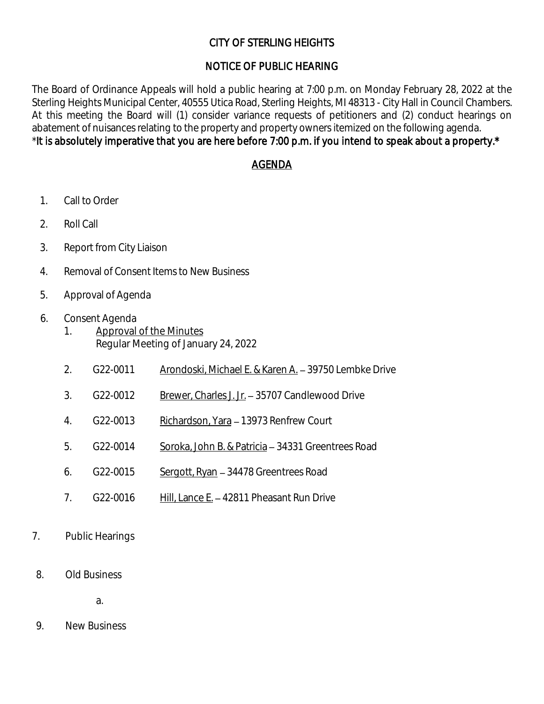# CITY OF STERLING HEIGHTS

# NOTICE OF PUBLIC HEARING

The Board of Ordinance Appeals will hold a public hearing at 7:00 p.m. on Monday February 28, 2022 at the Sterling Heights Municipal Center, 40555 Utica Road, Sterling Heights, MI 48313 - City Hall in Council Chambers. At this meeting the Board will (1) consider variance requests of petitioners and (2) conduct hearings on abatement of nuisances relating to the property and property owners itemized on the following agenda. \*It is absolutely imperative that you are here before 7:00 p.m. if you intend to speak about a property.\*

## AGENDA

- 1. Call to Order
- 2. Roll Call
- 3. Report from City Liaison
- 4. Removal of Consent Items to New Business
- 5. Approval of Agenda
- 6. Consent Agenda
	- 1. Approval of the Minutes Regular Meeting of January 24, 2022
	- 2. G22-0011 Arondoski, Michael E. & Karen A. 39750 Lembke Drive
	- 3. G22-0012 Brewer, Charles J. Jr. 35707 Candlewood Drive
	- 4. G22-0013 Richardson, Yara 13973 Renfrew Court
	- 5. G22-0014 Soroka, John B. & Patricia 34331 Greentrees Road
	- 6. G22-0015 Sergott, Ryan 34478 Greentrees Road
	- 7. G22-0016 Hill, Lance E. 42811 Pheasant Run Drive
- 7. Public Hearings
- 8. Old Business

a.

9. New Business